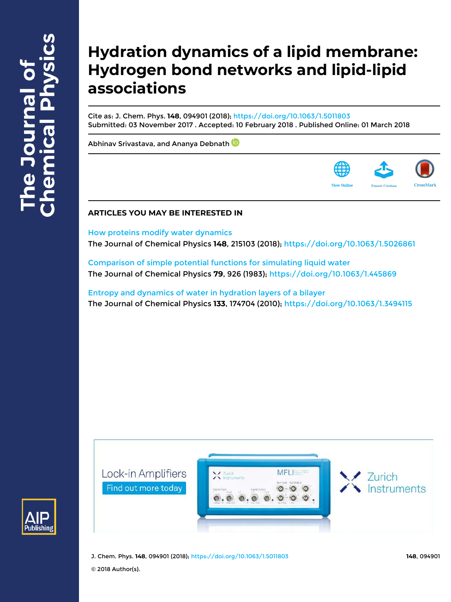# **Hydration dynamics of a lipid membrane: Hydrogen bond networks and lipid-lipid associations**

Cite as: J. Chem. Phys. **148**, 094901 (2018); https://doi.org/10.1063/1.5011803 Submitted: 03 November 2017 . Accepted: 10 February 2018 . Published Online: 01 March 2018

Abhinav Srivastava, and Ananya Debnath



# **ARTICLES YOU MAY BE INTERESTED IN**

How proteins modify water dynamics The Journal of Chemical Physics **148**, 215103 (2018); https://doi.org/10.1063/1.5026861

Comparison of simple potential functions for simulating liquid water The Journal of Chemical Physics **79**, 926 (1983); https://doi.org/10.1063/1.445869

Entropy and dynamics of water in hydration layers of a bilayer The Journal of Chemical Physics **133**, 174704 (2010); https://doi.org/10.1063/1.3494115





J. Chem. Phys. **148**, 094901 (2018); https://doi.org/10.1063/1.5011803 **148**, 094901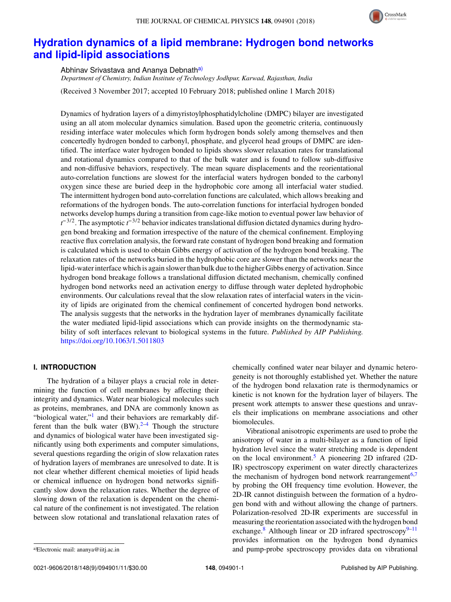

# **Hydration dynamics of a lipid membrane: Hydrogen bond networks and lipid-lipid associations**

Abhinav Srivastava and Ananya Debnath<sup>a)</sup>

*Department of Chemistry, Indian Institute of Technology Jodhpur, Karwad, Rajasthan, India*

(Received 3 November 2017; accepted 10 February 2018; published online 1 March 2018)

Dynamics of hydration layers of a dimyristoylphosphatidylcholine (DMPC) bilayer are investigated using an all atom molecular dynamics simulation. Based upon the geometric criteria, continuously residing interface water molecules which form hydrogen bonds solely among themselves and then concertedly hydrogen bonded to carbonyl, phosphate, and glycerol head groups of DMPC are identified. The interface water hydrogen bonded to lipids shows slower relaxation rates for translational and rotational dynamics compared to that of the bulk water and is found to follow sub-diffusive and non-diffusive behaviors, respectively. The mean square displacements and the reorientational auto-correlation functions are slowest for the interfacial waters hydrogen bonded to the carbonyl oxygen since these are buried deep in the hydrophobic core among all interfacial water studied. The intermittent hydrogen bond auto-correlation functions are calculated, which allows breaking and reformations of the hydrogen bonds. The auto-correlation functions for interfacial hydrogen bonded ☞☞networks develop humps during a transition from cage-like motion to eventual power law behavior of  $t^{-3/2}$ . The asymptotic  $t^{-3/2}$  behavior indicates translational diffusion dictated dynamics during hydrogen bond breaking and formation irrespective of the nature of the chemical confinement. Employing reactive flux correlation analysis, the forward rate constant of hydrogen bond breaking and formation is calculated which is used to obtain Gibbs energy of activation of the hydrogen bond breaking. The relaxation rates of the networks buried in the hydrophobic core are slower than the networks near the lipid-water interface which is again slower than bulk due to the higher Gibbs energy of activation. Since hydrogen bond breakage follows a translational diffusion dictated mechanism, chemically confined hydrogen bond networks need an activation energy to diffuse through water depleted hydrophobic environments. Our calculations reveal that the slow relaxation rates of interfacial waters in the vicinity of lipids are originated from the chemical confinement of concerted hydrogen bond networks. The analysis suggests that the networks in the hydration layer of membranes dynamically facilitate the water mediated lipid-lipid associations which can provide insights on the thermodynamic stability of soft interfaces relevant to biological systems in the future. *Published by AIP Publishing.* https://doi.org/10.1063/1.5011803

## **I. INTRODUCTION**

The hydration of a bilayer plays a crucial role in determining the function of cell membranes by affecting their integrity and dynamics. Water near biological molecules such as proteins, membranes, and DNA are commonly known as "biological water,"<sup>1</sup> and their behaviors are remarkably different than the bulk water  $(BW)$ .<sup>2-4</sup> Though the structure and dynamics of biological water have been investigated significantly using both experiments and computer simulations, several questions regarding the origin of slow relaxation rates of hydration layers of membranes are unresolved to date. It is not clear whether different chemical moieties of lipid heads or chemical influence on hydrogen bond networks significantly slow down the relaxation rates. Whether the degree of slowing down of the relaxation is dependent on the chemical nature of the confinement is not investigated. The relation between slow rotational and translational relaxation rates of chemically confined water near bilayer and dynamic heterogeneity is not thoroughly established yet. Whether the nature of the hydrogen bond relaxation rate is thermodynamics or kinetic is not known for the hydration layer of bilayers. The present work attempts to answer these questions and unravels their implications on membrane associations and other biomolecules.

Vibrational anisotropic experiments are used to probe the anisotropy of water in a multi-bilayer as a function of lipid hydration level since the water stretching mode is dependent on the local environment.<sup>5</sup> A pioneering 2D infrared (2D-IR) spectroscopy experiment on water directly characterizes the mechanism of hydrogen bond network rearrangement<sup>6,7</sup> by probing the OH frequency time evolution. However, the 2D-IR cannot distinguish between the formation of a hydrogen bond with and without allowing the change of partners. Polarization-resolved 2D-IR experiments are successful in measuring the reorientation associated with the hydrogen bond exchange. $8$  Although linear or 2D infrared spectroscopy<sup>9–11</sup> provides information on the hydrogen bond dynamics and pump-probe spectroscopy provides data on vibrational

0021-9606/2018/148(9)/094901/11/\$30.00 **148**, 094901-1 Published by AIP Publishing.

a)Electronic mail: ananya@iitj.ac.in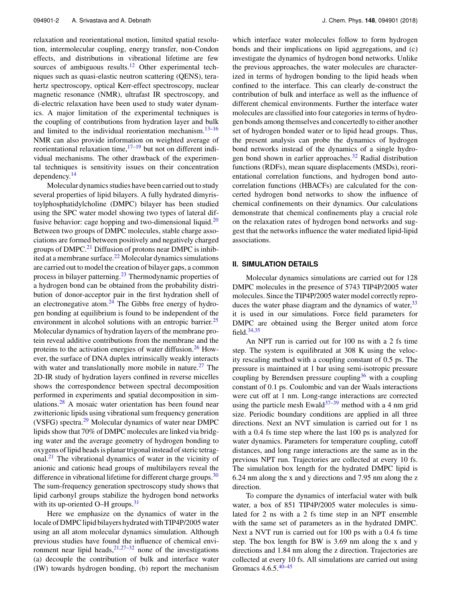relaxation and reorientational motion, limited spatial resolution, intermolecular coupling, energy transfer, non-Condon effects, and distributions in vibrational lifetime are few sources of ambiguous results.<sup>12</sup> Other experimental techniques such as quasi-elastic neutron scattering (QENS), terahertz spectroscopy, optical Kerr-effect spectroscopy, nuclear magnetic resonance (NMR), ultrafast IR spectroscopy, and di-electric relaxation have been used to study water dynamics. A major limitation of the experimental techniques is the coupling of contributions from hydration layer and bulk and limited to the individual reorientation mechanism. $13-16$ NMR can also provide information on weighted average of reorientational relaxation time, $17-19$  but not on different individual mechanisms. The other drawback of the experimental techniques is sensitivity issues on their concentration dependency.<sup>14</sup>

Molecular dynamics studies have been carried out to study several properties of lipid bilayers. A fully hydrated dimyristoylphosphatidylcholine (DMPC) bilayer has been studied using the SPC water model showing two types of lateral diffusive behavior: cage hopping and two-dimensional liquid. $20$ Between two groups of DMPC molecules, stable charge associations are formed between positively and negatively charged groups of DMPC.<sup>21</sup> Diffusion of protons near DMPC is inhibited at a membrane surface. $^{22}$  Molecular dynamics simulations are carried out to model the creation of bilayer gaps, a common process in bilayer patterning.<sup>23</sup> Thermodynamic properties of a hydrogen bond can be obtained from the probability distribution of donor-acceptor pair in the first hydration shell of an electronegative atom. $24$  The Gibbs free energy of hydrogen bonding at equilibrium is found to be independent of the environment in alcohol solutions with an entropic barrier.<sup>25</sup> Molecular dynamics of hydration layers of the membrane protein reveal additive contributions from the membrane and the proteins to the activation energies of water diffusion.<sup>26</sup> However, the surface of DNA duplex intrinsically weakly interacts with water and translationally more mobile in nature.<sup>27</sup> The 2D-IR study of hydration layers confined in reverse micelles shows the correspondence between spectral decomposition performed in experiments and spatial decomposition in simulations.<sup>28</sup> A mosaic water orientation has been found near zwitterionic lipids using vibrational sum frequency generation (VSFG) spectra.<sup>29</sup> Molecular dynamics of water near DMPC lipids show that 70% of DMPC molecules are linked via bridging water and the average geometry of hydrogen bonding to oxygens of lipid heads is planar trigonal instead of steric tetragonal.<sup>21</sup> The vibrational dynamics of water in the vicinity of anionic and cationic head groups of multibilayers reveal the difference in vibrational lifetime for different charge groups.<sup>30</sup> The sum-frequency generation spectroscopy study shows that lipid carbonyl groups stabilize the hydrogen bond networks with its up-oriented O–H groups. $31$ 

Here we emphasize on the dynamics of water in the locale of DMPC lipid bilayers hydrated with TIP4P/2005 water using an all atom molecular dynamics simulation. Although previous studies have found the influence of chemical environment near lipid heads, $2^{1,27-32}$  none of the investigations (a) decouple the contribution of bulk and interface water (IW) towards hydrogen bonding, (b) report the mechanism

which interface water molecules follow to form hydrogen bonds and their implications on lipid aggregations, and (c) investigate the dynamics of hydrogen bond networks. Unlike the previous approaches, the water molecules are characterized in terms of hydrogen bonding to the lipid heads when confined to the interface. This can clearly de-construct the contribution of bulk and interface as well as the influence of different chemical environments. Further the interface water molecules are classified into four categories in terms of hydrogen bonds among themselves and concertedly to either another set of hydrogen bonded water or to lipid head groups. Thus, the present analysis can probe the dynamics of hydrogen bond networks instead of the dynamics of a single hydrogen bond shown in earlier approaches. $32$  Radial distribution functions (RDFs), mean square displacements (MSDs), reorientational correlation functions, and hydrogen bond autocorrelation functions (HBACFs) are calculated for the concerted hydrogen bond networks to show the influence of chemical confinements on their dynamics. Our calculations demonstrate that chemical confinements play a crucial role on the relaxation rates of hydrogen bond networks and suggest that the networks influence the water mediated lipid-lipid associations.

#### **II. SIMULATION DETAILS**

Molecular dynamics simulations are carried out for 128 DMPC molecules in the presence of 5743 TIP4P/2005 water molecules. Since the TIP4P/2005 water model correctly reproduces the water phase diagram and the dynamics of water,  $33$ it is used in our simulations. Force field parameters for DMPC are obtained using the Berger united atom force field. $34,35$ 

An NPT run is carried out for 100 ns with a 2 fs time step. The system is equilibrated at 308 K using the velocity rescaling method with a coupling constant of 0.5 ps. The pressure is maintained at 1 bar using semi-isotropic pressure coupling by Berendsen pressure coupling<sup>36</sup> with a coupling constant of 0.1 ps. Coulombic and van der Waals interactions were cut off at 1 nm. Long-range interactions are corrected using the particle mesh Ewald<sup>37–39</sup> method with a 4 nm grid size. Periodic boundary conditions are applied in all three directions. Next an NVT simulation is carried out for 1 ns with a 0.4 fs time step where the last 100 ps is analyzed for water dynamics. Parameters for temperature coupling, cutoff distances, and long range interactions are the same as in the previous NPT run. Trajectories are collected at every 10 fs. The simulation box length for the hydrated DMPC lipid is 6.24 nm along the x and y directions and 7.95 nm along the z direction.

To compare the dynamics of interfacial water with bulk water, a box of 851 TIP4P/2005 water molecules is simulated for 2 ns with a 2 fs time step in an NPT ensemble with the same set of parameters as in the hydrated DMPC. Next a NVT run is carried out for 100 ps with a 0.4 fs time step. The box length for BW is 3.69 nm along the x and y directions and 1.84 nm along the z direction. Trajectories are collected at every 10 fs. All simulations are carried out using Gromacs 4.6.5.40–45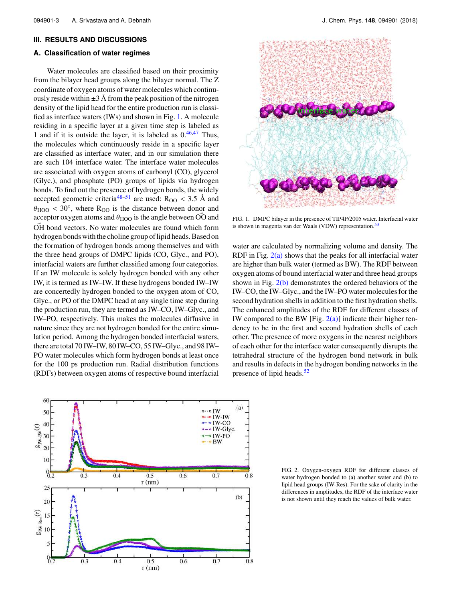#### **III. RESULTS AND DISCUSSIONS**

### **A. Classification of water regimes**

Water molecules are classified based on their proximity from the bilayer head groups along the bilayer normal. The Z coordinate of oxygen atoms of water molecules which continuously reside within  $\pm 3$  Å from the peak position of the nitrogen density of the lipid head for the entire production run is classified as interface waters (IWs) and shown in Fig. 1. A molecule residing in a specific layer at a given time step is labeled as 1 and if it is outside the layer, it is labeled as  $0.46,47$  Thus, the molecules which continuously reside in a specific layer are classified as interface water, and in our simulation there are such 104 interface water. The interface water molecules are associated with oxygen atoms of carbonyl (CO), glycerol (Glyc.), and phosphate (PO) groups of lipids via hydrogen bonds. To find out the presence of hydrogen bonds, the widely accepted geometric criteria<sup>48–51</sup> are used:  $R_{OO}$  < 3.5 Å and  $\theta_{\text{HOO}}$  < 30°, where R<sub>OO</sub> is the distance between donor and acceptor oxygen atoms and  $\theta_{\text{HOO}}$  is the angle between OO and OH bond vectors. No water molecules are found which form hydrogen bonds with the choline group of lipid heads. Based on the formation of hydrogen bonds among themselves and with the three head groups of DMPC lipids (CO, Glyc., and PO), interfacial waters are further classified among four categories. If an IW molecule is solely hydrogen bonded with any other IW, it is termed as IW–IW. If these hydrogens bonded IW–IW are concertedly hydrogen bonded to the oxygen atom of CO, Glyc., or PO of the DMPC head at any single time step during the production run, they are termed as IW–CO, IW–Glyc., and IW–PO, respectively. This makes the molecules diffusive in nature since they are not hydrogen bonded for the entire simulation period. Among the hydrogen bonded interfacial waters, there are total 70 IW–IW, 80 IW–CO, 55 IW–Glyc., and 98 IW– PO water molecules which form hydrogen bonds at least once for the 100 ps production run. Radial distribution functions (RDFs) between oxygen atoms of respective bound interfacial





FIG. 1. DMPC bilayer in the presence of TIP4P/2005 water. Interfacial water is shown in magenta van der Waals (VDW) representation.<sup>53</sup>

water are calculated by normalizing volume and density. The RDF in Fig.  $2(a)$  shows that the peaks for all interfacial water are higher than bulk water (termed as BW). The RDF between oxygen atoms of bound interfacial water and three head groups shown in Fig.  $2(b)$  demonstrates the ordered behaviors of the IW–CO, the IW–Glyc., and the IW–PO water molecules for the second hydration shells in addition to the first hydration shells. The enhanced amplitudes of the RDF for different classes of IW compared to the BW [Fig.  $2(a)$ ] indicate their higher tendency to be in the first and second hydration shells of each other. The presence of more oxygens in the nearest neighbors of each other for the interface water consequently disrupts the tetrahedral structure of the hydrogen bond network in bulk and results in defects in the hydrogen bonding networks in the presence of lipid heads. $52$ 

FIG. 2. Oxygen-oxygen RDF for different classes of water hydrogen bonded to (a) another water and (b) to lipid head groups (IW-Res). For the sake of clarity in the differences in amplitudes, the RDF of the interface water is not shown until they reach the values of bulk water.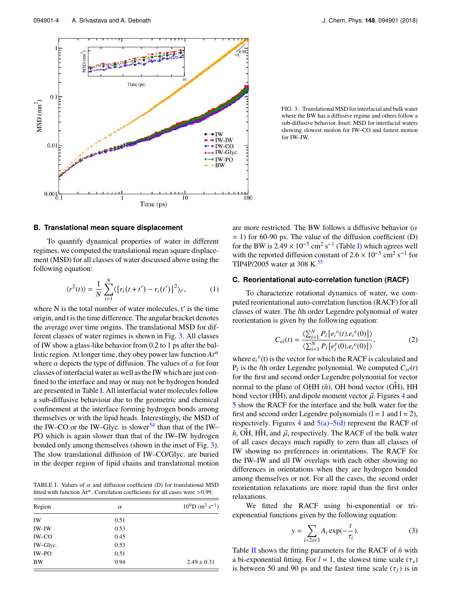

FIG. 3. Translational MSD for interfacial and bulk water where the BW has a diffusive regime and others follow a sub-diffusive behavior. Inset: MSD for interfacial waters showing slowest motion for IW–CO and fastest motion for IW–IW.

#### **B. Translational mean square displacement**

To quantify dynamical properties of water in different regimes, we computed the translational mean square displacement (MSD) for all classes of water discussed above using the following equation:

$$
\langle r^2(t) \rangle = \frac{1}{N} \sum_{i=1}^N \langle [r_i(t+t') - r_i(t')]^2 \rangle_{t'}, \qquad (1)
$$

where N is the total number of water molecules, t' is the time origin, and t is the time difference. The angular bracket denotes the average over time origins. The translational MSD for different classes of water regimes is shown in Fig. 3. All classes of IW show a glass-like behavior from 0.2 to 1 ps after the ballistic region. At longer time, they obey power law function *At*<sup>α</sup> where  $\alpha$  depicts the type of diffusion. The values of  $\alpha$  for four classes of interfacial water as well as the IW which are just confined to the interface and may or may not be hydrogen bonded are presented in Table I. All interfacial water molecules follow a sub-diffusive behaviour due to the geometric and chemical confinement at the interface forming hydrogen bonds among themselves or with the lipid heads. Interestingly, the MSD of the IW–CO or the IW–Glyc. is slower<sup>54</sup> than that of the IW– PO which is again slower than that of the IW–IW hydrogen bonded only among themselves (shown in the inset of Fig. 3). The slow translational diffusion of IW–CO/Glyc. are buried in the deeper region of lipid chains and translational motion

TABLE I. Values of  $\alpha$  and diffusion coefficient (D) for translational MSD fitted with function  $At^{\alpha}$ . Correlation coefficients for all cases were >0.99.

| Region    | $\alpha$ | $10^9$ D (m <sup>2</sup> s <sup>-1</sup> ) |
|-----------|----------|--------------------------------------------|
| IW        | 0.51     |                                            |
| IW-IW     | 0.53     |                                            |
| IW-CO     | 0.45     |                                            |
| IW-Glyc.  | 0.53     |                                            |
| IW-PO     | 0.51     |                                            |
| <b>BW</b> | 0.94     | $2.49 \pm 0.31$                            |

are more restricted. The BW follows a diffusive behavior ( $\alpha$  $\approx$  1) for 60-90 ps. The value of the diffusion coefficient (D) are more restricted. The BW follows a diffusive behavior ( $\alpha$   $\approx$  1) for 60-90 ps. The value of the diffusion coefficient (D) for the BW is 2.49  $\times$  10<sup>-5</sup> cm<sup>2</sup> s<sup>-1</sup> (Table I) which agrees well  $\approx$  1) for 60-90 ps. The value of the diffusion constant of 2.6 × 10<sup>-5</sup> cm<sup>2</sup> s<sup>-1</sup> (Table I) which with the reported diffusion constant of 2.6 × 10<sup>-5</sup>  $\text{cm}^2 \text{ s}^{-1}$  for TIP4P/2005 water at 308 K.<sup>55</sup>

#### **C. Reorientational auto-correlation function (RACF)**

To characterize rotational dynamics of water, we computed reorientational auto-correlation function (RACF) for all classes of water. The *l*th order Legendre polynomial of water reorientation is given by the following equation:

$$
C_{vl}(t) = \frac{\langle \sum_{i=1}^{N} P_l[e_i^{v}(t).e_i^{v}(0)] \rangle}{\langle \sum_{i=1}^{N} P_l[e_i^{v}(0).e_i^{v}(0)] \rangle},
$$
(2)

where  $e_i^v(t)$  is the vector for which the RACF is calculated and  $P_l$  is the *l*th order Legendre polynomial. We computed  $C_{vl}(t)$ for the first and second order Legendre polynomial for vector normal to the plane of OHH  $(\hat{n})$ , OH bond vector (OH), HH bond vector (HH), and dipole moment vector  $\vec{\mu}$ . Figures 4 and 5 show the RACF for the interface and the bulk water for the first and second order Legendre polynomials  $(l = 1 \text{ and } l = 2)$ , respectively. Figures 4 and  $5(a)$ – $5(d)$  represent the RACF of  $\hat{n}$ , OH, HH, and  $\vec{\mu}$ , respectively. The RACF of the bulk water of all cases decays much rapidly to zero than all classes of IW showing no preferences in orientations. The RACF for the IW–IW and all IW overlaps with each other showing no differences in orientations when they are hydrogen bonded among themselves or not. For all the cases, the second order reorientation relaxations are more rapid than the first order relaxations.

We fitted the RACF using bi-exponential or triexponential functions given by the following equation:

$$
y = \sum_{i=2or3} A_i \exp(-\frac{t}{\tau_i}).
$$
 (3)

Table II shows the fitting parameters for the RACF of  $\hat{n}$  with a bi-exponential fitting. For  $l = 1$ , the slowest time scale  $(\tau_s)$ is between 50 and 90 ps and the fastest time scale  $(\tau_f)$  is in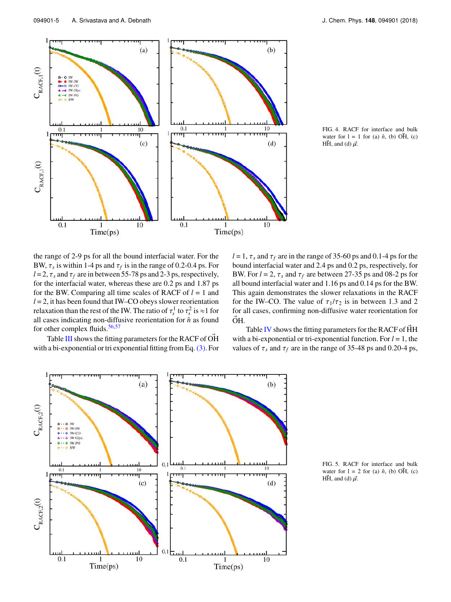$C_{\rm RACF,1}(t)$ 

 $C_{\rm RACF,1}(t)$ 

 $0.01W$  $\blacksquare$  IW-IW  $\begin{array}{c}\n\bullet \\
\hline\n\bullet\n\end{array}$  IW-CO<br>  $\begin{array}{c}\n\bullet\n\end{array}$  IW-Gly  $\blacktriangleleft$  IW-PO

 $\frac{0.1}{1.1}$ 

 $0.1$ 

 $(a)$ 

 $10$ 

10

 $(c)$ 

 $0.1$ 

 $0.1$ 

m



 $(b)$ 

 $10\,$ 

10

 $Time(ps)$ 

 $(d)$ 



the range of 2-9 ps for all the bound interfacial water. For the BW,  $\tau_s$  is within 1-4 ps and  $\tau_f$  is in the range of 0.2-0.4 ps. For  $l = 2$ ,  $\tau_s$  and  $\tau_f$  are in between 55-78 ps and 2-3 ps, respectively, for the interfacial water, whereas these are 0.2 ps and 1.87 ps for the BW. Comparing all time scales of RACF of *l* = 1 and  $l = 2$ , it has been found that IW–CO obeys slower reorientation relaxation than the rest of the IW. The ratio of  $\tau_s^1$  to  $\tau_s^2$  is  $\approx$ 1 for all cases indicating non-diffusive reorientation for  $\hat{n}$  as found for other complex fluids. $56,57$ 

Time(ps)

Table III shows the fitting parameters for the RACF of OH with a bi-exponential or tri exponential fitting from Eq.(3). For  $l = 1$ ,  $\tau_s$  and  $\tau_f$  are in the range of 35-60 ps and 0.1-4 ps for the bound interfacial water and 2.4 ps and 0.2 ps, respectively, for BW. For  $l = 2$ ,  $\tau_s$  and  $\tau_f$  are between 27-35 ps and 08-2 ps for all bound interfacial water and 1.16 ps and 0.14 ps for the BW. This again demonstrates the slower relaxations in the RACF for the IW–CO. The value of  $\tau_1/\tau_2$  is in between 1.3 and 2 for all cases, confirming non-diffusive water reorientation for  $OH.$ 

Table IV shows the fitting parameters for the RACF of HH with a bi-exponential or tri-exponential function. For  $l = 1$ , the values of  $\tau_s$  and  $\tau_f$  are in the range of 35-48 ps and 0.20-4 ps,



FIG. 5. RACF for interface and bulk water for  $l = 2$  for (a)  $\hat{n}$ , (b) OH, (c) HH, and (d)  $\vec{\mu}$ .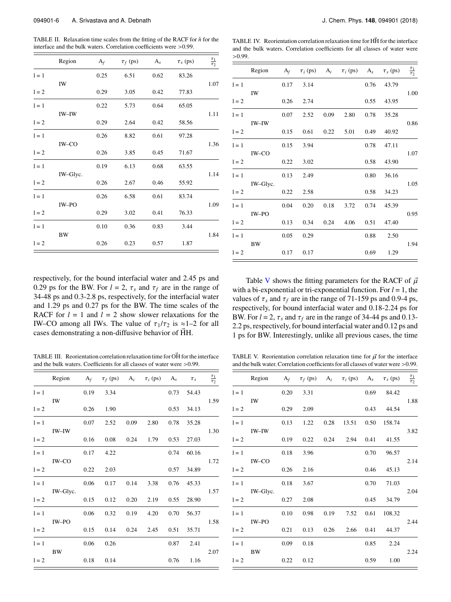TABLE II. Relaxation time scales from the fitting of the RACF for  $\hat{n}$  for the interface and the bulk waters. Correlation coefficients were >0.99.

|         | Region   | $A_f$ | $\tau_f$ (ps) | $A_{s}$ | $\tau_s$ (ps) | $\frac{\tau_1}{\tau_2}$ |  |
|---------|----------|-------|---------------|---------|---------------|-------------------------|--|
| $1 = 1$ |          | 0.25  | 6.51          | 0.62    | 83.26         |                         |  |
| $1 = 2$ | IW       | 0.29  | 3.05          | 0.42    | 77.83         | 1.07                    |  |
| $1 = 1$ |          | 0.22  | 5.73          | 0.64    | 65.05         |                         |  |
| $1 = 2$ | IW-IW    | 0.29  | 2.64          | 0.42    | 58.56         | 1.11                    |  |
| $1 = 1$ |          | 0.26  | 8.82          | 0.61    | 97.28         |                         |  |
| $1 = 2$ | IW-CO    | 0.26  | 3.85          | 0.45    | 71.67         | 1.36                    |  |
| $1 = 1$ |          | 0.19  | 6.13          | 0.68    | 63.55         |                         |  |
| $1 = 2$ | IW-Glyc. | 0.26  | 2.67          | 0.46    | 55.92         | 1.14                    |  |
| $1 = 1$ |          | 0.26  | 6.58          | 0.61    | 83.74         |                         |  |
| $1 = 2$ | IW-PO    | 0.29  | 3.02          | 0.41    | 76.33         | 1.09                    |  |
| $1 = 1$ |          | 0.10  | 0.36          | 0.83    | 3.44          |                         |  |
| $1 = 2$ | BW       | 0.26  | 0.23          | 0.57    | 1.87          | 1.84                    |  |

respectively, for the bound interfacial water and 2.45 ps and 0.29 ps for the BW. For  $l = 2$ ,  $\tau_s$  and  $\tau_f$  are in the range of 34-48 ps and 0.3-2.8 ps, respectively, for the interfacial water and 1.29 ps and 0.27 ps for the BW. The time scales of the RACF for  $l = 1$  and  $l = 2$  show slower relaxations for the IW–CO among all IWs. The value of  $\tau_1/\tau_2$  is ≈1–2 for all cases demonstrating a non-diffusive behavior of HH. <sup>~</sup>

TABLE III. Reorientation correlation relaxation time for  $\vec{OH}$  for the interface and the bulk waters. Coefficients for all classes of water were >0.99.

|         | Region    |      | $A_f$ $\tau_f$ (ps) $A_i$ $\tau_i$ (ps) $A_s$ $\tau_s$ |                    |                      |      |       | $\frac{\tau_1}{\tau_2}$ |
|---------|-----------|------|--------------------------------------------------------|--------------------|----------------------|------|-------|-------------------------|
| $1 = 1$ |           | 0.19 | 3.34                                                   |                    |                      | 0.73 | 54.43 |                         |
| $1 = 2$ | IW        | 0.26 | 1.90                                                   |                    |                      | 0.53 | 34.13 | 1.59                    |
| $1 = 1$ |           | 0.07 | 2.52                                                   | 0.09               | 2.80                 | 0.78 | 35.28 |                         |
| $1 = 2$ | IW-IW     | 0.16 | $0.08$ 0.24                                            |                    | 1.79                 | 0.53 | 27.03 | 1.30                    |
| $1 = 1$ |           | 0.17 | 4.22                                                   |                    |                      | 0.74 | 60.16 |                         |
| $1 = 2$ | IW-CO     | 0.22 | 2.03                                                   |                    |                      | 0.57 | 34.89 | 1.72                    |
| $1 = 1$ |           | 0.06 | 0.17                                                   | 0.14               | 3.38                 | 0.76 | 45.33 |                         |
| $1 = 2$ | IW-Glyc.  | 0.15 |                                                        | $0.12 \qquad 0.20$ | 2.19                 | 0.55 | 28.90 | 1.57                    |
| $1 = 1$ |           | 0.06 | 0.32                                                   | 0.19               | 4.20                 | 0.70 | 56.37 |                         |
| $1 = 2$ | IW-PO     | 0.15 |                                                        |                    | $0.14$ $0.24$ $2.45$ | 0.51 | 35.71 | 1.58                    |
| $1 = 1$ |           | 0.06 | 0.26                                                   |                    |                      | 0.87 | 2.41  |                         |
| $1 = 2$ | <b>BW</b> | 0.18 | 0.14                                                   |                    |                      | 0.76 | 1.16  | 2.07                    |

TABLE IV. Reorientation correlation relaxation time for HH for the interface and the bulk waters. Correlation coefficients for all classes of water were >0.99.

|         | Region       |      | $A_f$ $\tau_i$ (ps) $A_i$ $\tau_i$ (ps) $A_s$ $\tau_s$ (ps) |      |             |      |       | $\frac{\tau_1}{\tau_2}$ |
|---------|--------------|------|-------------------------------------------------------------|------|-------------|------|-------|-------------------------|
| $1 = 1$ |              |      | $0.17$ 3.14                                                 |      |             | 0.76 | 43.79 |                         |
| $1 = 2$ | IW           | 0.26 | 2.74                                                        |      |             | 0.55 | 43.95 | 1.00                    |
| $1 = 1$ |              | 0.07 | 2.52                                                        | 0.09 | 2.80        | 0.78 | 35.28 |                         |
| $1 = 2$ | <b>IW-IW</b> | 0.15 | 0.61                                                        |      | $0.22$ 5.01 | 0.49 | 40.92 | 0.86                    |
| $1 = 1$ |              | 0.15 | 3.94                                                        |      |             | 0.78 | 47.11 |                         |
| $1 = 2$ | IW-CO        | 0.22 | 3.02                                                        |      |             | 0.58 | 43.90 | 1.07                    |
| $1 = 1$ |              | 0.13 | 2.49                                                        |      |             | 0.80 | 36.16 |                         |
| $1 = 2$ | IW-Glyc.     | 0.22 | 2.58                                                        |      |             | 0.58 | 34.23 | 1.05                    |
| $1 = 1$ |              | 0.04 | 0.20                                                        | 0.18 | 3.72        | 0.74 | 45.39 |                         |
| $1 = 2$ | IW-PO        | 0.13 | 0.34                                                        |      | $0.24$ 4.06 | 0.51 | 47.40 | 0.95                    |
| $1 = 1$ |              | 0.05 | 0.29                                                        |      |             | 0.88 | 2.50  |                         |
| $1 = 2$ | <b>BW</b>    | 0.17 | 0.17                                                        |      |             | 0.69 | 1.29  | 1.94                    |
|         |              |      |                                                             |      |             |      |       |                         |

Table V shows the fitting parameters for the RACF of  $\vec{\mu}$ with a bi-exponential or tri-exponential function. For  $l = 1$ , the values of  $\tau_s$  and  $\tau_f$  are in the range of 71-159 ps and 0.9-4 ps, respectively, for bound interfacial water and 0.18-2.24 ps for BW. For  $l = 2$ ,  $\tau_s$  and  $\tau_f$  are in the range of 34-44 ps and 0.13-2.2 ps, respectively, for bound interfacial water and 0.12 ps and 1 ps for BW. Interestingly, unlike all previous cases, the time

TABLE V. Reorientation correlation relaxation time for  $\vec{\mu}$  for the interface and the bulk water. Correlation coefficients for all classes of water were >0.99.

|         | Region    |      | $A_f$ $\tau_f$ (ps) $A_i$ $\tau_i$ (ps) $A_s$ $\tau_s$ (ps) |      |                      |      |            | $\frac{\tau_1}{\tau_2}$ |
|---------|-----------|------|-------------------------------------------------------------|------|----------------------|------|------------|-------------------------|
| $1 = 1$ |           | 0.20 | 3.31                                                        |      |                      | 0.69 | 84.42      |                         |
| $1 = 2$ | IW        | 0.29 | 2.09                                                        |      |                      |      | 0.43 44.54 | 1.88                    |
| $1 = 1$ |           | 0.13 | 1.22                                                        | 0.28 | 13.51                | 0.50 | 158.74     |                         |
| $1 = 2$ | IW-IW     | 0.19 |                                                             |      | $0.22$ $0.24$ $2.94$ | 0.41 | 41.55      | 3.82                    |
| $1 = 1$ |           | 0.18 | 3.96                                                        |      |                      | 0.70 | 96.57      |                         |
| $1 = 2$ | IW-CO     | 0.26 | 2.16                                                        |      |                      | 0.46 | 45.13      | 2.14                    |
| $1 = 1$ |           | 0.18 | 3.67                                                        |      |                      | 0.70 | 71.03      |                         |
| $1 = 2$ | IW-Glyc.  | 0.27 | 2.08                                                        |      |                      | 0.45 | 34.79      | 2.04                    |
| $1 = 1$ |           | 0.10 | 0.98                                                        | 0.19 | 7.52                 | 0.61 | 108.32     |                         |
| $1 = 2$ | IW-PO     | 0.21 |                                                             |      | $0.13$ $0.26$ $2.66$ |      | 0.41 44.37 | 2.44                    |
| $1 = 1$ |           | 0.09 | 0.18                                                        |      |                      | 0.85 | 2.24       |                         |
| $1 = 2$ | <b>BW</b> | 0.22 | 0.12                                                        |      |                      | 0.59 | 1.00       | 2.24                    |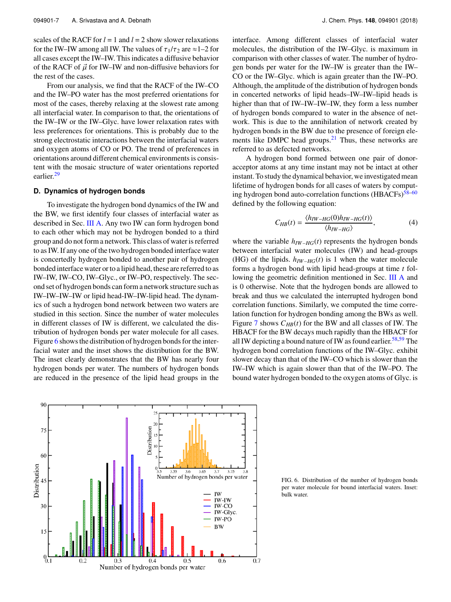scales of the RACF for  $l = 1$  and  $l = 2$  show slower relaxations for the IW–IW among all IW. The values of  $\tau_1/\tau_2$  are  $\approx$  1–2 for all cases except the IW–IW. This indicates a diffusive behavior of the RACF of  $\vec{\mu}$  for IW–IW and non-diffusive behaviors for the rest of the cases.

From our analysis, we find that the RACF of the IW–CO and the IW–PO water has the most preferred orientations for most of the cases, thereby relaxing at the slowest rate among all interfacial water. In comparison to that, the orientations of the IW–IW or the IW–Glyc. have lower relaxation rates with less preferences for orientations. This is probably due to the strong electrostatic interactions between the interfacial waters and oxygen atoms of CO or PO. The trend of preferences in orientations around different chemical environments is consistent with the mosaic structure of water orientations reported earlier.<sup>29</sup>

#### **D. Dynamics of hydrogen bonds**

To investigate the hydrogen bond dynamics of the IW and the BW, we first identify four classes of interfacial water as described in Sec. III A. Any two IW can form hydrogen bond to each other which may not be hydrogen bonded to a third group and do not form a network. This class of water is referred to as IW. If any one of the two hydrogen bonded interface water is concertedly hydrogen bonded to another pair of hydrogen bonded interface water or to a lipid head, these are referred to as IW–IW, IW–CO, IW–Glyc., or IW–PO, respectively. The second set of hydrogen bonds can form a network structure such as IW–IW–IW–IW or lipid head-IW–IW-lipid head. The dynamics of such a hydrogen bond network between two waters are studied in this section. Since the number of water molecules in different classes of IW is different, we calculated the distribution of hydrogen bonds per water molecule for all cases. Figure 6 shows the distribution of hydrogen bonds for the interfacial water and the inset shows the distribution for the BW. The inset clearly demonstrates that the BW has nearly four hydrogen bonds per water. The numbers of hydrogen bonds are reduced in the presence of the lipid head groups in the interface. Among different classes of interfacial water molecules, the distribution of the IW–Glyc. is maximum in comparison with other classes of water. The number of hydrogen bonds per water for the IW–IW is greater than the IW– CO or the IW–Glyc. which is again greater than the IW–PO. Although, the amplitude of the distribution of hydrogen bonds in concerted networks of lipid heads–IW–IW–lipid heads is higher than that of IW–IW–IW–IW, they form a less number of hydrogen bonds compared to water in the absence of network. This is due to the annihilation of network created by hydrogen bonds in the BW due to the presence of foreign ele-

A hydrogen bond formed between one pair of donoracceptor atoms at any time instant may not be intact at other instant. To study the dynamical behavior, we investigated mean lifetime of hydrogen bonds for all cases of waters by computing hydrogen bond auto-correlation functions  $(HBACFs)^{58-60}$ defined by the following equation:

ments like DMPC head groups. $2<sup>1</sup>$  Thus, these networks are

referred to as defected networks.

$$
C_{HB}(t) = \frac{\langle h_{IW-HG}(0)h_{IW-HG}(t) \rangle}{\langle h_{IW-HG} \rangle},\tag{4}
$$

where the variable  $h_{IW-HG}(t)$  represents the hydrogen bonds between interfacial water molecules (IW) and head-groups (HG) of the lipids.  $h_{IW-HG}(t)$  is 1 when the water molecule forms a hydrogen bond with lipid head-groups at time *t* following the geometric definition mentioned in Sec. III A and is 0 otherwise. Note that the hydrogen bonds are allowed to break and thus we calculated the interrupted hydrogen bond correlation functions. Similarly, we computed the time correlation function for hydrogen bonding among the BWs as well. Figure 7 shows *CHB*(*t*) for the BW and all classes of IW. The HBACF for the BW decays much rapidly than the HBACF for all IW depicting a bound nature of IW as found earlier.<sup>58,59</sup> The hydrogen bond correlation functions of the IW–Glyc. exhibit slower decay than that of the IW–CO which is slower than the IW–IW which is again slower than that of the IW–PO. The bound water hydrogen bonded to the oxygen atoms of Glyc. is



FIG. 6. Distribution of the number of hydrogen bonds per water molecule for bound interfacial waters. Inset: bulk water.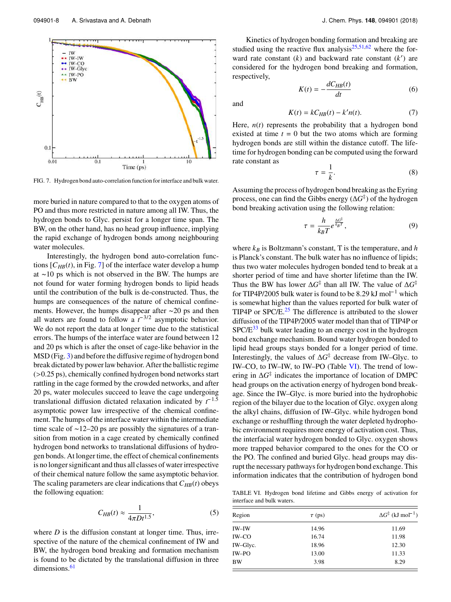

FIG. 7. Hydrogen bond auto-correlation function for interface and bulk water.

more buried in nature compared to that to the oxygen atoms of PO and thus more restricted in nature among all IW. Thus, the hydrogen bonds to Glyc. persist for a longer time span. The BW, on the other hand, has no head group influence, implying the rapid exchange of hydrogen bonds among neighbouring water molecules.

Interestingly, the hydrogen bond auto-correlation functions  $[C_{HB}(t)$ , in Fig. 7] of the interface water develop a hump at ∼10 ps which is not observed in the BW. The humps are not found for water forming hydrogen bonds to lipid heads until the contribution of the bulk is de-constructed. Thus, the humps are consequences of the nature of chemical confinements. However, the humps disappear after ∼20 ps and then all waters are found to follow a  $t^{-3/2}$  asymptotic behavior. We do not report the data at longer time due to the statistical errors. The humps of the interface water are found between 12 and 20 ps which is after the onset of cage-like behavior in the MSD (Fig. 3) and before the diffusive regime of hydrogen bond break dictated by power law behavior. After the ballistic regime (>0.25 ps), chemically confined hydrogen bond networks start rattling in the cage formed by the crowded networks, and after 20 ps, water molecules succeed to leave the cage undergoing translational diffusion dictated relaxation indicated by *t* 1.5 asymptotic power law irrespective of the chemical confinement. The humps of the interface water within the intermediate time scale of ∼12–20 ps are possibly the signatures of a transition from motion in a cage created by chemically confined hydrogen bond networks to translational diffusions of hydrogen bonds. At longer time, the effect of chemical confinements is no longer significant and thus all classes of water irrespective of their chemical nature follow the same asymptotic behavior. The scaling parameters are clear indications that  $C_{HB}(t)$  obeys the following equation:

$$
C_{HB}(t) \approx \frac{1}{4\pi Dt^{1.5}},\tag{5}
$$

where *D* is the diffusion constant at longer time. Thus, irrespective of the nature of the chemical confinement of IW and BW, the hydrogen bond breaking and formation mechanism is found to be dictated by the translational diffusion in three dimensions. $61$ 

Kinetics of hydrogen bonding formation and breaking are studied using the reactive flux analysis $25,51,62$  where the forward rate constant  $(k)$  and backward rate constant  $(k')$  are considered for the hydrogen bond breaking and formation, respectively,

$$
K(t) = -\frac{dC_{HB}(t)}{dt}
$$
 (6)

and

$$
K(t) = kC_{HB}(t) - k'n(t). \tag{7}
$$

Here,  $n(t)$  represents the probability that a hydrogen bond existed at time  $t = 0$  but the two atoms which are forming hydrogen bonds are still within the distance cutoff. The lifetime for hydrogen bonding can be computed using the forward rate constant as

$$
\tau = \frac{1}{k}.\tag{8}
$$

Assuming the process of hydrogen bond breaking as the Eyring process, one can find the Gibbs energy (∆*G* ‡ ) of the hydrogen bond breaking activation using the following relation:

$$
\tau = \frac{h}{k_B T} e^{\frac{\Delta G^{\ddagger}}{k_B T}},\tag{9}
$$

where  $k_B$  is Boltzmann's constant, T is the temperature, and  $h$ is Planck's constant. The bulk water has no influence of lipids; thus two water molecules hydrogen bonded tend to break at a shorter period of time and have shorter lifetime than the IW.<br>Thus the BW has lower  $\Delta G^{\ddagger}$  than all IW. The value of  $\Delta G^{\ddagger}$  for TIP4P/2005 bulk water is found to be 8.29 kJ mol<sup>-1</sup> which Thus the BW has lower  $\Delta G^{\ddagger}$  than all IW. The value of  $\Delta G^{\ddagger}$ is somewhat higher than the values reported for bulk water of TIP4P or  $SPC/E<sup>25</sup>$ . The difference is attributed to the slower diffusion of the TIP4P/2005 water model than that of TIP4P or  $SPC/E^{33}$  bulk water leading to an energy cost in the hydrogen bond exchange mechanism. Bound water hydrogen bonded to lipid head groups stays bonded for a longer period of time. Interestingly, the values of ∆*G* ‡ decrease from IW–Glyc. to IW–CO, to IW–IW, to IW–PO (Table VI). The trend of lowering in ∆*G* ‡ indicates the importance of location of DMPC head groups on the activation energy of hydrogen bond breakage. Since the IW–Glyc. is more buried into the hydrophobic region of the bilayer due to the location of Glyc. oxygen along the alkyl chains, diffusion of IW–Glyc. while hydrogen bond exchange or reshuffling through the water depleted hydrophobic environment requires more energy of activation cost. Thus, the interfacial water hydrogen bonded to Glyc. oxygen shows more trapped behavior compared to the ones for the CO or the PO. The confined and buried Glyc. head groups may disrupt the necessary pathways for hydrogen bond exchange. This information indicates that the contribution of hydrogen bond

TABLE VI. Hydrogen bond lifetime and Gibbs energy of activation for<br>
interface and bulk waters.<br>  $\frac{1}{\tau(\text{ps})}$   $\Delta G^{\frac{4}{3}}$  (kJ mol<sup>-1</sup>) interface and bulk waters.

| $\tau$ (ps) | $\Delta G^{\ddagger}$ (kJ mol <sup>-1</sup> ) |  |  |
|-------------|-----------------------------------------------|--|--|
| 14.96       | 11.69                                         |  |  |
| 16.74       | 11.98                                         |  |  |
| 18.96       | 12.30                                         |  |  |
| 13.00       | 11.33                                         |  |  |
| 3.98        | 8.29                                          |  |  |
|             |                                               |  |  |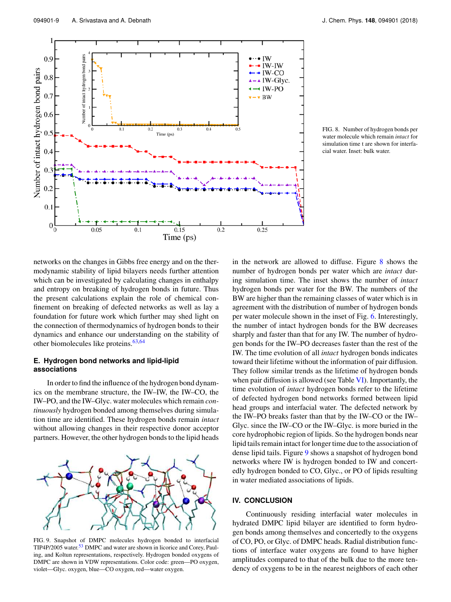

FIG. 8. Number of hydrogen bonds per water molecule which remain *intact* for simulation time t are shown for interfacial water. Inset: bulk water.

networks on the changes in Gibbs free energy and on the thermodynamic stability of lipid bilayers needs further attention which can be investigated by calculating changes in enthalpy and entropy on breaking of hydrogen bonds in future. Thus the present calculations explain the role of chemical confinement on breaking of defected networks as well as lay a foundation for future work which further may shed light on the connection of thermodynamics of hydrogen bonds to their dynamics and enhance our understanding on the stability of other biomolecules like proteins. $63,64$ 

#### **E. Hydrogen bond networks and lipid-lipid associations**

In order to find the influence of the hydrogen bond dynamics on the membrane structure, the IW–IW, the IW–CO, the IW–PO, and the IW–Glyc. water molecules which remain *continuously* hydrogen bonded among themselves during simulation time are identified. These hydrogen bonds remain *intact* without allowing changes in their respective donor acceptor partners. However, the other hydrogen bonds to the lipid heads



FIG. 9. Snapshot of DMPC molecules hydrogen bonded to interfacial TIP4P/2005 water.<sup>53</sup> DMPC and water are shown in licorice and Corey, Pauling, and Koltun representations, respectively. Hydrogen bonded oxygens of DMPC are shown in VDW representations. Color code: green—PO oxygen, violet—Glyc. oxygen, blue—CO oxygen, red—water oxygen.

in the network are allowed to diffuse. Figure 8 shows the number of hydrogen bonds per water which are *intact* during simulation time. The inset shows the number of *intact* hydrogen bonds per water for the BW. The numbers of the BW are higher than the remaining classes of water which is in agreement with the distribution of number of hydrogen bonds per water molecule shown in the inset of Fig. 6. Interestingly, the number of intact hydrogen bonds for the BW decreases sharply and faster than that for any IW. The number of hydrogen bonds for the IW–PO decreases faster than the rest of the IW. The time evolution of all *intact* hydrogen bonds indicates toward their lifetime without the information of pair diffusion. They follow similar trends as the lifetime of hydrogen bonds when pair diffusion is allowed (see Table VI). Importantly, the time evolution of *intact* hydrogen bonds refer to the lifetime of defected hydrogen bond networks formed between lipid head groups and interfacial water. The defected network by the IW–PO breaks faster than that by the IW–CO or the IW– Glyc. since the IW–CO or the IW–Glyc. is more buried in the core hydrophobic region of lipids. So the hydrogen bonds near lipid tails remain intact for longer time due to the association of dense lipid tails. Figure 9 shows a snapshot of hydrogen bond networks where IW is hydrogen bonded to IW and concertedly hydrogen bonded to CO, Glyc., or PO of lipids resulting in water mediated associations of lipids.

#### **IV. CONCLUSION**

Continuously residing interfacial water molecules in hydrated DMPC lipid bilayer are identified to form hydrogen bonds among themselves and concertedly to the oxygens of CO, PO, or Glyc. of DMPC heads. Radial distribution functions of interface water oxygens are found to have higher amplitudes compared to that of the bulk due to the more tendency of oxygens to be in the nearest neighbors of each other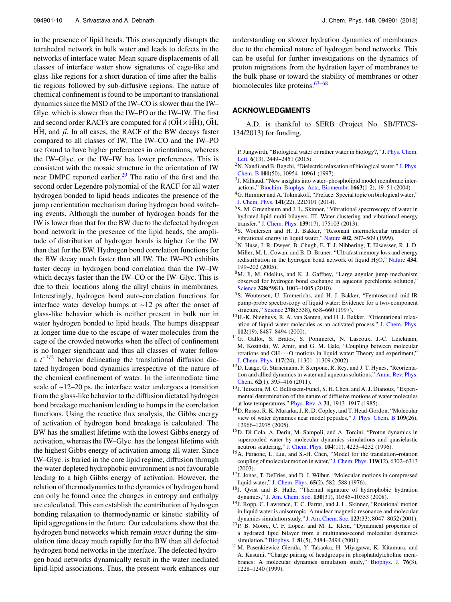in the presence of lipid heads. This consequently disrupts the tetrahedral network in bulk water and leads to defects in the networks of interface water. Mean square displacements of all classes of interface water show signatures of cage-like and glass-like regions for a short duration of time after the ballistic regions followed by sub-diffusive regions. The nature of chemical confinement is found to be important to translational dynamics since the MSD of the IW–CO is slower than the IW– Glyc. which is slower than the IW–PO or the IW–IW. The first and second order RACFs are computed for  $\vec{n}$  ( $\vec{OH} \times \vec{HH}$ ),  $\vec{OH}$ , HH, and  $\vec{\mu}$ . In all cases, the RACF of the BW decays faster compared to all classes of IW. The IW–CO and the IW–PO are found to have higher preferences in orientations, whereas the IW–Glyc. or the IW–IW has lower preferences. This is consistent with the mosaic structure in the orientation of IW near DMPC reported earlier. $29$  The ratio of the first and the second order Legendre polynomial of the RACF for all water hydrogen bonded to lipid heads indicates the presence of the jump reorientation mechanism during hydrogen bond switching events. Although the number of hydrogen bonds for the IW is lower than that for the BW due to the defected hydrogen bond network in the presence of the lipid heads, the amplitude of distribution of hydrogen bonds is higher for the IW than that for the BW. Hydrogen bond correlation functions for the BW decay much faster than all IW. The IW–PO exhibits faster decay in hydrogen bond correlation than the IW–IW which decays faster than the IW–CO or the IW–Glyc. This is due to their locations along the alkyl chains in membranes. Interestingly, hydrogen bond auto-correlation functions for interface water develop humps at ∼12 ps after the onset of glass-like behavior which is neither present in bulk nor in water hydrogen bonded to lipid heads. The humps disappear at longer time due to the escape of water molecules from the expect the crowded networks when the effect of confinement is no longer significant and thus all classes of water follow a  $t^{-3/2}$  behavior delineating the translational diffusion dictated hydrogen bond dynamics irrespective of the nature of the chemical confinement of water. In the intermediate time scale of ∼12–20 ps, the interface water undergoes a transition from the glass-like behavior to the diffusion dictated hydrogen bond breakage mechanism leading to humps in the correlation functions. Using the reactive flux analysis, the Gibbs energy of activation of hydrogen bond breakage is calculated. The BW has the smallest lifetime with the lowest Gibbs energy of activation, whereas the IW–Glyc. has the longest lifetime with the highest Gibbs energy of activation among all water. Since IW–Glyc. is buried in the core lipid regime, diffusion through the water depleted hydrophobic environment is not favourable leading to a high Gibbs energy of activation. However, the relation of thermodynamics to the dynamics of hydrogen bond can only be found once the changes in entropy and enthalpy are calculated. This can establish the contribution of hydrogen bonding relaxation to thermodynamic or kinetic stability of lipid aggregations in the future. Our calculations show that the hydrogen bond networks which remain *intact* during the simulation time decay much rapidly for the BW than all defected hydrogen bond networks in the interface. The defected hydrogen bond networks dynamically result in the water mediated lipid-lipid associations. Thus, the present work enhances our

understanding on slower hydration dynamics of membranes due to the chemical nature of hydrogen bond networks. This can be useful for further investigations on the dynamics of proton migrations from the hydration layer of membranes to the bulk phase or toward the stability of membranes or other biomolecules like proteins. $63-68$ 

#### **ACKNOWLEDGMENTS**

A.D. is thankful to SERB (Project No. SB/FT/CS-134/2013) for funding.

- <sup>1</sup>P. Jungwirth, "Biological water or rather water in biology?," J. Phys. Chem. Lett. **6**(13), 2449–2451 (2015).
- <sup>2</sup>N. Nandi and B. Bagchi, "Dielectric relaxation of biological water," J. Phys. Chem. B **101**(50), 10954–10961 (1997).
- <sup>3</sup>J. Milhaud, "New insights into water-phospholipid model membrane interactions," Biochim. Biophys. Acta, Biomembr. **1663**(1-2), 19–51 (2004).
- <sup>4</sup>G. Hummer and A. Tokmakoff, "Preface: Special topic on biological water," J. Chem. Phys. **141**(22), 22D101 (2014).
- <sup>5</sup>S. M. Gruenbaum and J. L. Skinner, "Vibrational spectroscopy of water in hydrated lipid multi-bilayers. III. Water clustering and vibrational energy transfer," J. Chem. Phys. **139**(17), 175103 (2013).
- <sup>6</sup>S. Woutersen and H. J. Bakker, "Resonant intermolecular transfer of vibrational energy in liquid water," Nature **402**, 507–509 (1999).
- <sup>7</sup>N. Huse, J. R. Dwyer, B. Chugh, E. T. J. Nibbering, T. Elsaesser, R. J. D. Miller, M. L. Cowan, and B. D. Bruner, "Ultrafast memory loss and energy redistribution in the hydrogen bond network of liquid  $H_2O$ ," Nature 434, 199–202 (2005).
- <sup>8</sup>M. Ji, M. Odelius, and K. J. Gaffney, "Large angular jump mechanism observed for hydrogen bond exchange in aqueous perchlorate solution," Science **328**(5981), 1003–1005 (2010).
- <sup>9</sup>S. Woutersen, U. Emmerichs, and H. J. Bakker, "Femtosecond mid-IR pump-probe spectroscopy of liquid water: Evidence for a two-component structure," Science **278**(5338), 658–660 (1997).
- <sup>10</sup>H.-K. Nienhuys, R. A. van Santen, and H. J. Bakker, "Orientational relaxation of liquid water molecules as an activated process," J. Chem. Phys. **112**(19), 8487–8494 (2000).
- <sup>11</sup>G. Gallot, S. Bratos, S. Pommeret, N. Lascoux, J.-C. Leicknam, M. Kozinski, W. Amir, and G. M. Gale, "Coupling between molecular ´ rotations and OH· · · O motions in liquid water: Theory and experiment," J. Chem. Phys. **117**(24), 11301–11309 (2002).
- <sup>12</sup>D. Laage, G. Stirnemann, F. Sterpone, R. Rey, and J. T. Hynes, "Reorientation and allied dynamics in water and aqueous solutions," Annu. Rev. Phys. Chem. **62**(1), 395–416 (2011).
- <sup>13</sup>J. Teixeira, M. C. Bellissent-Funel, S. H. Chen, and A. J. Dianoux, "Experimental determination of the nature of diffusive motions of water molecules at low temperatures," Phys. Rev. A **31**, 1913–1917 (1985).
- <sup>14</sup>D. Russo, R. K. Murarka, J. R. D. Copley, and T. Head-Gordon, "Molecular view of water dynamics near model peptides," J. Phys. Chem. B **109**(26), 12966–12975 (2005).
- <sup>15</sup>D. Di Cola, A. Deriu, M. Sampoli, and A. Torcini, "Proton dynamics in supercooled water by molecular dynamics simulations and quasielastic neutron scattering," J. Chem. Phys. **104**(11), 4223–4232 (1996).
- <sup>16</sup>A. Faraone, L. Liu, and S.-H. Chen, "Model for the translation–rotation coupling of molecular motion in water," J. Chem. Phys. **119**(12), 6302–6313 (2003).
- $17$ J. Jonas, T. DeFries, and D. J. Wilbur, "Molecular motions in compressed liquid water," J. Chem. Phys. **65**(2), 582–588 (1976).
- <sup>18</sup>J. Qvist and B. Halle, "Thermal signature of hydrophobic hydration dynamics," J. Am. Chem. Soc. **130**(31), 10345–10353 (2008).
- <sup>19</sup>J. Ropp, C. Lawrence, T. C. Farrar, and J. L. Skinner, "Rotational motion in liquid water is anisotropic: A nuclear magnetic resonance and molecular dynamics simulation study," J. Am. Chem. Soc. **123**(33), 8047–8052 (2001).
- <sup>20</sup>P. B. Moore, C. F. Lopez, and M. L. Klein, "Dynamical properties of a hydrated lipid bilayer from a multinanosecond molecular dynamics simulation," Biophys. J. **81**(5), 2484–2494 (2001).
- <sup>21</sup>M. Pasenkiewicz-Gierula, Y. Takaoka, H. Miyagawa, K. Kitamura, and A. Kusumi, "Charge pairing of headgroups in phosphatidylcholine membranes: A molecular dynamics simulation study," Biophys. J. **76**(3), 1228–1240 (1999).